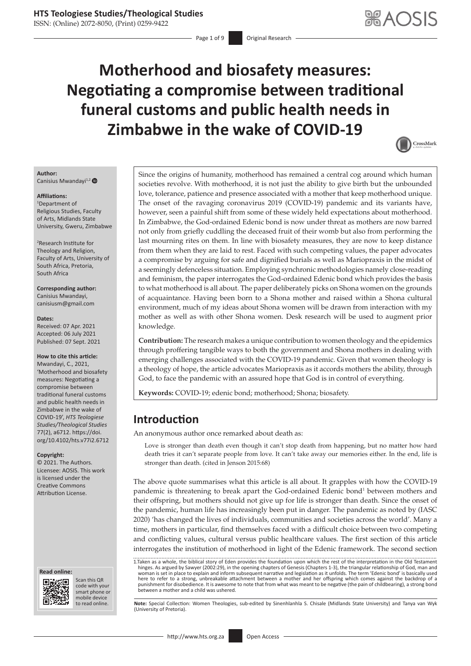ISSN: (Online) 2072-8050, (Print) 0259-9422

# **Motherhood and biosafety measures: Negotiating a compromise between traditional funeral customs and public health needs in Zimbabwe in the wake of COVID-19**



#### **Author:**

Canisius Mwandayi<sup>1,2</sup>

#### **Affiliations:**

1 Department of Religious Studies, Faculty of Arts, Midlands State University, Gweru, Zimbabwe

2 Research Institute for Theology and Religion, Faculty of Arts, University of South Africa, Pretoria, South Africa

**Corresponding author:** Canisius Mwandayi, [canisiusm@gmail.com](mailto:canisiusm@gmail.com)

#### **Dates:**

Received: 07 Apr. 2021 Accepted: 06 July 2021 Published: 07 Sept. 2021

#### **How to cite this article:**

Mwandayi, C., 2021, 'Motherhood and biosafety measures: Negotiating a compromise between traditional funeral customs and public health needs in Zimbabwe in the wake of COVID-19', *HTS Teologiese Studies/Theological Studies* 77(2), a6712. [https://doi.](https://doi.org/10.4102/hts.v77i2.6712) [org/10.4102/hts.v77i2.6712](https://doi.org/10.4102/hts.v77i2.6712)

**Copyright:**

© 2021. The Authors. Licensee: AOSIS. This work is licensed under the Creative Commons Attribution License.

#### **Read online: Read online:**



Scan this QR code with your Scan this QR<br>code with your<br>smart phone or<br>mobile device mobile device to read online.

Since the origins of humanity, motherhood has remained a central cog around which human societies revolve. With motherhood, it is not just the ability to give birth but the unbounded love, tolerance, patience and presence associated with a mother that keep motherhood unique. The onset of the ravaging coronavirus 2019 (COVID-19) pandemic and its variants have, however, seen a painful shift from some of these widely held expectations about motherhood. In Zimbabwe, the God-ordained Edenic bond is now under threat as mothers are now barred not only from griefly cuddling the deceased fruit of their womb but also from performing the last mourning rites on them. In line with biosafety measures, they are now to keep distance from them when they are laid to rest. Faced with such competing values, the paper advocates a compromise by arguing for safe and dignified burials as well as Mariopraxis in the midst of a seemingly defenceless situation. Employing synchronic methodologies namely close-reading and feminism, the paper interrogates the God-ordained Edenic bond which provides the basis to what motherhood is all about. The paper deliberately picks on Shona women on the grounds of acquaintance. Having been born to a Shona mother and raised within a Shona cultural environment, much of my ideas about Shona women will be drawn from interaction with my mother as well as with other Shona women. Desk research will be used to augment prior knowledge.

**Contribution:** The research makes a unique contribution to women theology and the epidemics through proffering tangible ways to both the government and Shona mothers in dealing with emerging challenges associated with the COVID-19 pandemic. Given that women theology is a theology of hope, the article advocates Mariopraxis as it accords mothers the ability, through God, to face the pandemic with an assured hope that God is in control of everything.

**Keywords:** COVID-19; edenic bond; motherhood; Shona; biosafety.

## **Introduction**

An anonymous author once remarked about death as:

Love is stronger than death even though it can't stop death from happening, but no matter how hard death tries it can't separate people from love. It can't take away our memories either. In the end, life is stronger than death. (cited in Jenson 2015:68)

The above quote summarises what this article is all about. It grapples with how the COVID-19 pandemic is threatening to break apart the God-ordained Edenic bond<sup>1</sup> between mothers and their offspring, but mothers should not give up for life is stronger than death. Since the onset of the pandemic, human life has increasingly been put in danger. The pandemic as noted by (IASC 2020) 'has changed the lives of individuals, communities and societies across the world'. Many a time, mothers in particular, find themselves faced with a difficult choice between two competing and conflicting values, cultural versus public healthcare values. The first section of this article interrogates the institution of motherhood in light of the Edenic framework. The second section

1.Taken as a whole, the biblical story of Eden provides the foundation upon which the rest of the interpretation in the Old Testament hinges. As argued by Sawyer (2002:29), in the opening chapters of Genesis (Chapters 1-3), the triangular relationship of God, man and woman is set in place to explain and inform subsequent narrative and legislation as it unfolds. The term 'Edenic bond' is basically used<br>here to refer to a strong, unbreakable attachment between a mother and her offspring punishment for disobedience. It is awesome to note that from what was meant to be negative (the pain of childbearing), a strong bond between a mother and a child was ushered.

Note: Special Collection: Women Theologies, sub-edited by Sinenhlanhla S. Chisale (Midlands State University) and Tanya van Wyk (University of Pretoria).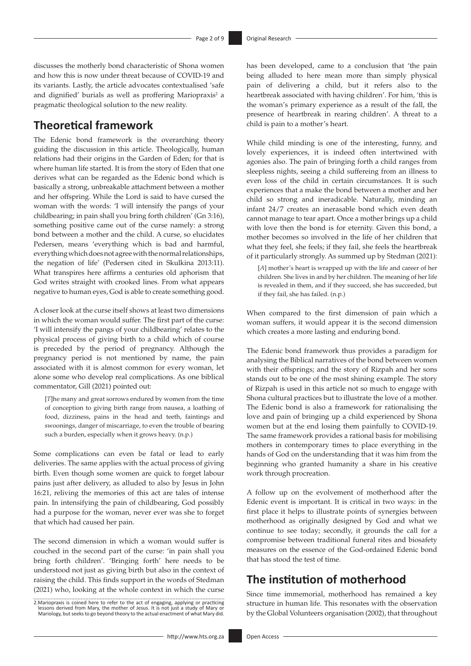discusses the motherly bond characteristic of Shona women and how this is now under threat because of COVID-19 and its variants. Lastly, the article advocates contextualised 'safe and dignified' burials as well as proffering Mariopraxis<sup>2</sup> a pragmatic theological solution to the new reality.

#### **Theoretical framework**

The Edenic bond framework is the overarching theory guiding the discussion in this article. Theologically, human relations had their origins in the Garden of Eden; for that is where human life started. It is from the story of Eden that one derives what can be regarded as the Edenic bond which is basically a strong, unbreakable attachment between a mother and her offspring. While the Lord is said to have cursed the woman with the words: 'I will intensify the pangs of your childbearing; in pain shall you bring forth children' (Gn 3:16), something positive came out of the curse namely: a strong bond between a mother and the child. A curse, so elucidates Pedersen, means 'everything which is bad and harmful, everything which does not agree with the normal relationships, the negation of life' (Pedersen cited in Skulkina 2013:11). What transpires here affirms a centuries old aphorism that God writes straight with crooked lines. From what appears negative to human eyes, God is able to create something good.

A closer look at the curse itself shows at least two dimensions in which the woman would suffer. The first part of the curse: 'I will intensify the pangs of your childbearing' relates to the physical process of giving birth to a child which of course is preceded by the period of pregnancy. Although the pregnancy period is not mentioned by name, the pain associated with it is almost common for every woman, let alone some who develop real complications. As one biblical commentator, Gill (2021) pointed out:

[*T*]he many and great sorrows endured by women from the time of conception to giving birth range from nausea, a loathing of food, dizziness, pains in the head and teeth, faintings and swoonings, danger of miscarriage, to even the trouble of bearing such a burden, especially when it grows heavy. (n.p.)

Some complications can even be fatal or lead to early deliveries. The same applies with the actual process of giving birth. Even though some women are quick to forget labour pains just after delivery, as alluded to also by Jesus in John 16:21, reliving the memories of this act are tales of intense pain. In intensifying the pain of childbearing, God possibly had a purpose for the woman, never ever was she to forget that which had caused her pain.

The second dimension in which a woman would suffer is couched in the second part of the curse: 'in pain shall you bring forth children'. 'Bringing forth' here needs to be understood not just as giving birth but also in the context of raising the child. This finds support in the words of Stedman (2021) who, looking at the whole context in which the curse has been developed, came to a conclusion that 'the pain being alluded to here mean more than simply physical pain of delivering a child, but it refers also to the heartbreak associated with having children'. For him, 'this is the woman's primary experience as a result of the fall, the presence of heartbreak in rearing children'. A threat to a child is pain to a mother's heart.

While child minding is one of the interesting, funny, and lovely experiences, it is indeed often intertwined with agonies also. The pain of bringing forth a child ranges from sleepless nights, seeing a child suffereing from an illness to even loss of the child in certain circumstances. It is such experiences that a make the bond between a mother and her child so strong and ineradicable. Naturally, minding an infant 24/7 creates an inerasable bond which even death cannot manage to tear apart. Once a mother brings up a child with love then the bond is for eternity. Given this bond, a mother becomes so involved in the life of her children that what they feel, she feels; if they fail, she feels the heartbreak of it particularly strongly. As summed up by Stedman (2021):

[*A*] mother's heart is wrapped up with the life and career of her children. She lives in and by her children. The meaning of her life is revealed in them, and if they succeed, she has succeeded, but if they fail, she has failed. (n.p.)

When compared to the first dimension of pain which a woman suffers, it would appear it is the second dimension which creates a more lasting and enduring bond.

The Edenic bond framework thus provides a paradigm for analysing the Biblical narratives of the bond between women with their offsprings; and the story of Rizpah and her sons stands out to be one of the most shining example. The story of Rizpah is used in this article not so much to engage with Shona cultural practices but to illustrate the love of a mother. The Edenic bond is also a framework for rationalising the love and pain of bringing up a child experienced by Shona women but at the end losing them painfully to COVID-19. The same framework provides a rational basis for mobilising mothers in contemporary times to place everything in the hands of God on the understanding that it was him from the beginning who granted humanity a share in his creative work through procreation.

A follow up on the evolvement of motherhood after the Edenic event is important. It is critical in two ways: in the first place it helps to illustrate points of synergies between motherhood as originally designed by God and what we continue to see today; secondly, it grounds the call for a compromise between traditional funeral rites and biosafety measures on the essence of the God-ordained Edenic bond that has stood the test of time.

## **The institution of motherhood**

Since time immemorial, motherhood has remained a key structure in human life. This resonates with the observation by the Global Volunteers organisation (2002), that throughout

<sup>2.</sup>Mariopraxis is coined here to refer to the act of engaging, applying or practicing.<br>Iessons derived from Mary, the mother of Jesus. It is not just a study of Mary or<br>Mariology, but seeks to go beyond theory to the actual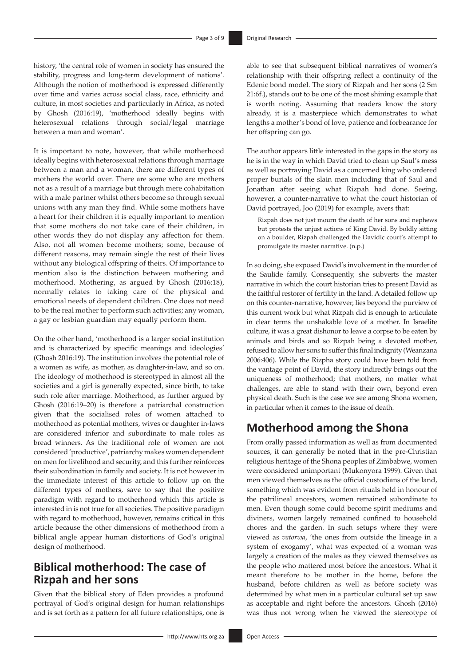history, 'the central role of women in society has ensured the stability, progress and long-term development of nations'. Although the notion of motherhood is expressed differently over time and varies across social class, race, ethnicity and culture, in most societies and particularly in Africa, as noted by Ghosh (2016:19), 'motherhood ideally begins with heterosexual relations through social/legal marriage between a man and woman'.

It is important to note, however, that while motherhood ideally begins with heterosexual relations through marriage between a man and a woman, there are different types of mothers the world over. There are some who are mothers not as a result of a marriage but through mere cohabitation with a male partner whilst others become so through sexual unions with any man they find. While some mothers have a heart for their children it is equally important to mention that some mothers do not take care of their children, in other words they do not display any affection for them. Also, not all women become mothers; some, because of different reasons, may remain single the rest of their lives without any biological offspring of theirs. Of importance to mention also is the distinction between mothering and motherhood. Mothering, as argued by Ghosh (2016:18), normally relates to taking care of the physical and emotional needs of dependent children. One does not need to be the real mother to perform such activities; any woman, a gay or lesbian guardian may equally perform them.

On the other hand, 'motherhood is a larger social institution and is characterized by specific meanings and ideologies' (Ghosh 2016:19). The institution involves the potential role of a women as wife, as mother, as daughter-in-law, and so on. The ideology of motherhood is stereotyped in almost all the societies and a girl is generally expected, since birth, to take such role after marriage. Motherhood, as further argued by Ghosh (2016:19–20) is therefore a patriarchal construction given that the socialised roles of women attached to motherhood as potential mothers, wives or daughter in-laws are considered inferior and subordinate to male roles as bread winners. As the traditional role of women are not considered 'productive', patriarchy makes women dependent on men for livelihood and security, and this further reinforces their subordination in family and society. It is not however in the immediate interest of this article to follow up on the different types of mothers, save to say that the positive paradigm with regard to motherhood which this article is interested in is not true for all societies. The positive paradigm with regard to motherhood, however, remains critical in this article because the other dimensions of motherhood from a biblical angle appear human distortions of God's original design of motherhood.

## **Biblical motherhood: The case of Rizpah and her sons**

Given that the biblical story of Eden provides a profound portrayal of God's original design for human relationships and is set forth as a pattern for all future relationships, one is able to see that subsequent biblical narratives of women's relationship with their offspring reflect a continuity of the Edenic bond model. The story of Rizpah and her sons (2 Sm 21:6f.), stands out to be one of the most shining example that is worth noting. Assuming that readers know the story already, it is a masterpiece which demonstrates to what lengths a mother's bond of love, patience and forbearance for her offspring can go.

The author appears little interested in the gaps in the story as he is in the way in which David tried to clean up Saul's mess as well as portraying David as a concerned king who ordered proper burials of the slain men including that of Saul and Jonathan after seeing what Rizpah had done. Seeing, however, a counter-narrative to what the court historian of David portrayed, Joo (2019) for example, avers that:

Rizpah does not just mourn the death of her sons and nephews but protests the unjust actions of King David. By boldly sitting on a boulder, Rizpah challenged the Davidic court's attempt to promulgate its master narrative. (n.p.)

In so doing, she exposed David's involvement in the murder of the Saulide family. Consequently, she subverts the master narrative in which the court historian tries to present David as the faithful restorer of fertility in the land. A detailed follow up on this counter-narrative, however, lies beyond the purview of this current work but what Rizpah did is enough to articulate in clear terms the unshakable love of a mother. In Israelite culture, it was a great dishonor to leave a corpse to be eaten by animals and birds and so Rizpah being a devoted mother, refused to allow her sons to suffer this final indignity (Weanzana 2006:406). While the Rizpha story could have been told from the vantage point of David, the story indirectly brings out the uniqueness of motherhood; that mothers, no matter what challenges, are able to stand with their own, beyond even physical death. Such is the case we see among Shona women, in particular when it comes to the issue of death.

## **Motherhood among the Shona**

From orally passed information as well as from documented sources, it can generally be noted that in the pre-Christian religious heritage of the Shona peoples of Zimbabwe, women were considered unimportant (Mukonyora 1999). Given that men viewed themselves as the official custodians of the land, something which was evident from rituals held in honour of the patrilineal ancestors, women remained subordinate to men. Even though some could become spirit mediums and diviners, women largely remained confined to household chores and the garden. In such setups where they were viewed as *vatorwa*, 'the ones from outside the lineage in a system of exogamy', what was expected of a woman was largely a creation of the males as they viewed themselves as the people who mattered most before the ancestors. What it meant therefore to be mother in the home, before the husband, before children as well as before society was determined by what men in a particular cultural set up saw as acceptable and right before the ancestors. Ghosh (2016) was thus not wrong when he viewed the stereotype of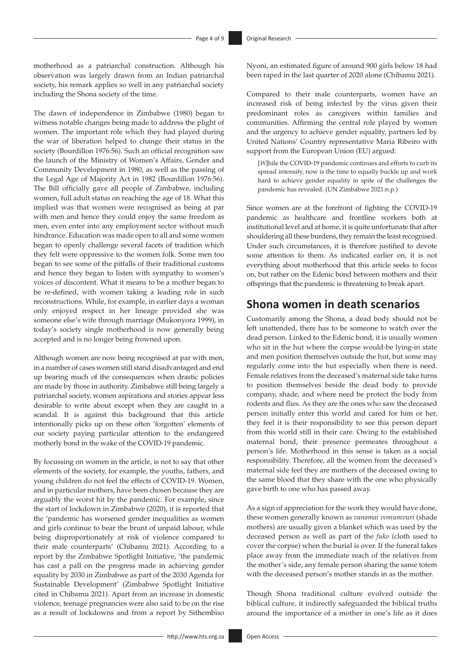motherhood as a patriarchal construction. Although his observation was largely drawn from an Indian patriarchal society, his remark applies so well in any patriarchal society including the Shona society of the time.

The dawn of independence in Zimbabwe (1980) began to witness notable changes being made to address the plight of women. The important role which they had played during the war of liberation helped to change their status in the society (Bourdillon 1976:56). Such an official recognition saw the launch of the Ministry of Women's Affairs, Gender and Community Development in 1980, as well as the passing of the Legal Age of Majority Act in 1982 (Bourdillon 1976:56). The Bill officially gave all people of Zimbabwe, including women, full adult status on reaching the age of 18. What this implied was that women were recognised as being at par with men and hence they could enjoy the same freedom as men, even enter into any employment sector without much hindrance. Education was made open to all and some women began to openly challenge several facets of tradition which they felt were oppressive to the women folk. Some men too began to see some of the pitfalls of their traditional customs and hence they began to listen with sympathy to women's voices of discontent. What it means to be a mother began to be re-defined, with women taking a leading role in such reconstructions. While, for example, in earlier days a woman only enjoyed respect in her lineage provided she was someone else's wife through marriage (Mukonyora 1999), in today's society single motherhood is now generally being accepted and is no longer being frowned upon.

Although women are now being recognised at par with men, in a number of cases women still stand disadvantaged and end up bearing much of the consequences when drastic policies are made by those in authority. Zimbabwe still being largely a patriarchal society, women aspirations and stories appear less desirable to write about except when they are caught in a scandal. It is against this background that this article intentionally picks up on these often 'forgotten' elements of our society paying particular attention to the endangered motherly bond in the wake of the COVID-19 pandemic.

By focussing on women in the article, is not to say that other elements of the society, for example, the youths, fathers, and young children do not feel the effects of COVID-19. Women, and in particular mothers, have been chosen because they are arguably the worst hit by the pandemic. For example, since the start of lockdown in Zimbabwe (2020), it is reported that the 'pandemic has worsened gender inequalities as women and girls continue to bear the brunt of unpaid labour, while being disproportionately at risk of violence compared to their male counterparts' (Chibamu 2021). According to a report by the Zimbabwe Spotlight Initiative, 'the pandemic has cast a pall on the progress made in achieving gender equality by 2030 in Zimbabwe as part of the 2030 Agenda for Sustainable Development' (Zimbabwe Spotlight Initiative cited in Chibamu 2021). Apart from an increase in domestic violence, teenage pregnancies were also said to be on the rise as a result of lockdowns and from a report by Sithembiso

Nyoni, an estimated figure of around 900 girls below 18 had been raped in the last quarter of 2020 alone (Chibamu 2021).

Compared to their male counterparts, women have an increased risk of being infected by the virus given their predominant roles as caregivers within families and communities. Affirming the central role played by women and the urgency to achieve gender equality, partners led by United Nations' Country representative Maria Ribeiro with support from the European Union (EU) argued:

[*W*]hile the COVID-19 pandemic continues and efforts to curb its spread intensify, now is the time to equally buckle up and work hard to achieve gender equality in spite of the challenges the pandemic has revealed. (UN Zimbabwe 2021:n.p.)

Since women are at the forefront of fighting the COVID-19 pandemic as healthcare and frontline workers both at institutional level and at home, it is quite unfortunate that after shouldering all these burdens, they remain the least recognised. Under such circumstances, it is therefore justified to devote some attention to them. As indicated earlier on, it is not everything about motherhood that this article seeks to focus on, but rather on the Edenic bond between mothers and their offsprings that the pandemic is threatening to break apart.

#### **Shona women in death scenarios**

Customarily among the Shona, a dead body should not be left unattended, there has to be someone to watch over the dead person. Linked to the Edenic bond, it is usually women who sit in the hut where the corpse would-be lying-in state and men position themselves outside the hut, but some may regularly come into the hut especially when there is need. Female relatives from the deceased's maternal side take turns to position themselves beside the dead body to provide company, shade, and where need be protect the body from rodents and flies. As they are the ones who saw the deceased person initially enter this world and cared for him or her, they feel it is their responsibility to see this person depart from this world still in their care. Owing to the established maternal bond, their presence permeates throughout a person's life. Motherhood in this sense is taken as a social responsibility. Therefore, all the women from the deceased's maternal side feel they are mothers of the deceased owing to the same blood that they share with the one who physically gave birth to one who has passed away.

As a sign of appreciation for the work they would have done, these women generally known as *vanamai vomumvuri* (shade mothers) are usually given a blanket which was used by the deceased person as well as part of the *fuko* (cloth used to cover the corpse) when the burial is over. If the funeral takes place away from the immediate reach of the relatives from the mother's side, any female person sharing the same totem with the deceased person's mother stands in as the mother.

Though Shona traditional culture evolved outside the biblical culture, it indirectly safeguarded the biblical truths around the importance of a mother in one's life as it does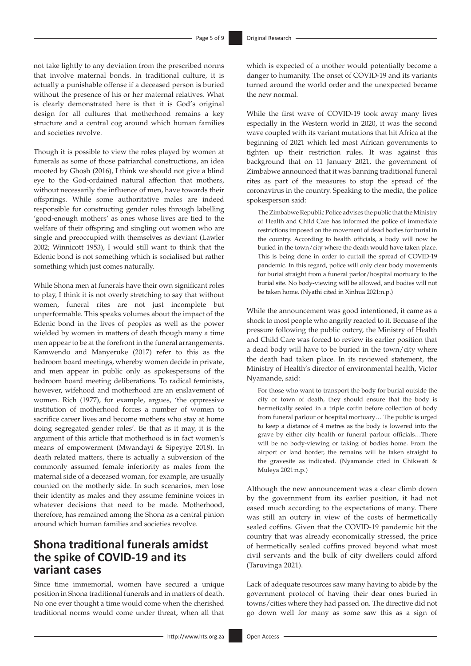not take lightly to any deviation from the prescribed norms that involve maternal bonds. In traditional culture, it is actually a punishable offense if a deceased person is buried without the presence of his or her maternal relatives. What is clearly demonstrated here is that it is God's original design for all cultures that motherhood remains a key structure and a central cog around which human families and societies revolve.

Though it is possible to view the roles played by women at funerals as some of those patriarchal constructions, an idea mooted by Ghosh (2016), I think we should not give a blind eye to the God-ordained natural affection that mothers, without necessarily the influence of men, have towards their offsprings. While some authoritative males are indeed responsible for constructing gender roles through labelling 'good-enough mothers' as ones whose lives are tied to the welfare of their offspring and singling out women who are single and preoccupied with themselves as deviant (Lawler 2002; Winnicott 1953), I would still want to think that the Edenic bond is not something which is socialised but rather something which just comes naturally.

While Shona men at funerals have their own significant roles to play, I think it is not overly stretching to say that without women, funeral rites are not just incomplete but unperformable. This speaks volumes about the impact of the Edenic bond in the lives of peoples as well as the power wielded by women in matters of death though many a time men appear to be at the forefront in the funeral arrangements. Kamwendo and Manyeruke (2017) refer to this as the bedroom board meetings, whereby women decide in private, and men appear in public only as spokespersons of the bedroom board meeting deliberations. To radical feminists, however, wifehood and motherhood are an enslavement of women. Rich (1977), for example, argues, 'the oppressive institution of motherhood forces a number of women to sacrifice career lives and become mothers who stay at home doing segregated gender roles'. Be that as it may, it is the argument of this article that motherhood is in fact women's means of empowerment (Mwandayi & Sipeyiye 2018). In death related matters, there is actually a subversion of the commonly assumed female inferiority as males from the maternal side of a deceased woman, for example, are usually counted on the motherly side. In such scenarios, men lose their identity as males and they assume feminine voices in whatever decisions that need to be made. Motherhood, therefore, has remained among the Shona as a central pinion around which human families and societies revolve.

## **Shona traditional funerals amidst the spike of COVID-19 and its variant cases**

Since time immemorial, women have secured a unique position in Shona traditional funerals and in matters of death. No one ever thought a time would come when the cherished traditional norms would come under threat, when all that which is expected of a mother would potentially become a danger to humanity. The onset of COVID-19 and its variants turned around the world order and the unexpected became the new normal.

While the first wave of COVID-19 took away many lives especially in the Western world in 2020, it was the second wave coupled with its variant mutations that hit Africa at the beginning of 2021 which led most African governments to tighten up their restriction rules. It was against this background that on 11 January 2021, the government of Zimbabwe announced that it was banning traditional funeral rites as part of the measures to stop the spread of the coronavirus in the country. Speaking to the media, the police spokesperson said:

The Zimbabwe Republic Police advises the public that the Ministry of Health and Child Care has informed the police of immediate restrictions imposed on the movement of dead bodies for burial in the country. According to health officials, a body will now be buried in the town/city where the death would have taken place. This is being done in order to curtail the spread of COVID-19 pandemic. In this regard, police will only clear body movements for burial straight from a funeral parlor/hospital mortuary to the burial site. No body-viewing will be allowed, and bodies will not be taken home. (Nyathi cited in Xinhua 2021:n.p.)

While the announcement was good intentioned, it came as a shock to most people who angrily reacted to it. Becuase of the pressure following the public outcry, the Ministry of Health and Child Care was forced to review its earlier position that a dead body will have to be buried in the town/city where the death had taken place. In its reviewed statement, the Ministry of Health's director of environmental health, Victor Nyamande, said:

For those who want to transport the body for burial outside the city or town of death, they should ensure that the body is hermetically sealed in a triple coffin before collection of body from funeral parlour or hospital mortuary… The public is urged to keep a distance of 4 metres as the body is lowered into the grave by either city health or funeral parlour officials…There will be no body-viewing or taking of bodies home. From the airport or land border, the remains will be taken straight to the gravesite as indicated. (Nyamande cited in Chikwati & Muleya 2021:n.p.)

Although the new announcement was a clear climb down by the government from its earlier position, it had not eased much according to the expectations of many. There was still an outcry in view of the costs of hermetically sealed coffins. Given that the COVID-19 pandemic hit the country that was already economically stressed, the price of hermetically sealed coffins proved beyond what most civil servants and the bulk of city dwellers could afford (Taruvinga 2021).

Lack of adequate resources saw many having to abide by the government protocol of having their dear ones buried in towns/cities where they had passed on. The directive did not go down well for many as some saw this as a sign of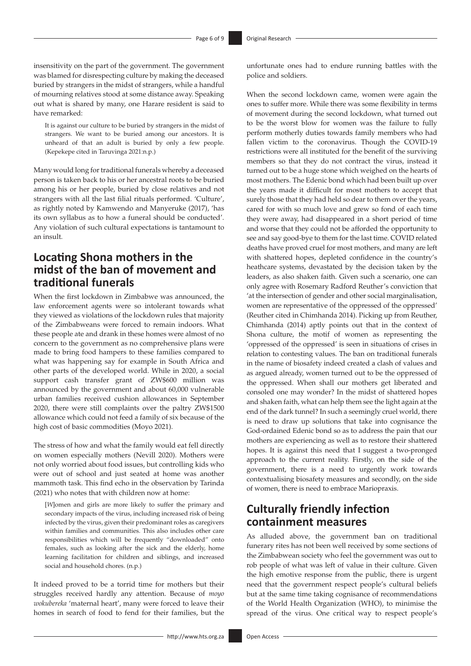insensitivity on the part of the government. The government was blamed for disrespecting culture by making the deceased buried by strangers in the midst of strangers, while a handful of mourning relatives stood at some distance away. Speaking out what is shared by many, one Harare resident is said to have remarked:

It is against our culture to be buried by strangers in the midst of strangers. We want to be buried among our ancestors. It is unheard of that an adult is buried by only a few people. (Kepekepe cited in Taruvinga 2021:n.p.)

Many would long for traditional funerals whereby a deceased person is taken back to his or her ancestral roots to be buried among his or her people, buried by close relatives and not strangers with all the last filial rituals performed. 'Culture', as rightly noted by Kamwendo and Manyeruke (2017), 'has its own syllabus as to how a funeral should be conducted'. Any violation of such cultural expectations is tantamount to an insult.

## **Locating Shona mothers in the midst of the ban of movement and traditional funerals**

When the first lockdown in Zimbabwe was announced, the law enforcement agents were so intolerant towards what they viewed as violations of the lockdown rules that majority of the Zimbabweans were forced to remain indoors. What these people ate and drank in these homes were almost of no concern to the government as no comprehensive plans were made to bring food hampers to these families compared to what was happening say for example in South Africa and other parts of the developed world. While in 2020, a social support cash transfer grant of ZW\$600 million was announced by the government and about 60,000 vulnerable urban families received cushion allowances in September 2020, there were still complaints over the paltry ZW\$1500 allowance which could not feed a family of six because of the high cost of basic commodities (Moyo 2021).

The stress of how and what the family would eat fell directly on women especially mothers (Nevill 2020). Mothers were not only worried about food issues, but controlling kids who were out of school and just seated at home was another mammoth task. This find echo in the observation by Tarinda (2021) who notes that with children now at home:

[*W*]omen and girls are more likely to suffer the primary and secondary impacts of the virus, including increased risk of being infected by the virus, given their predominant roles as caregivers within families and communities. This also includes other care responsibilities which will be frequently "downloaded" onto females, such as looking after the sick and the elderly, home learning facilitation for children and siblings, and increased social and household chores. (n.p.)

It indeed proved to be a torrid time for mothers but their struggles received hardly any attention. Because of *moyo wokubereka* 'maternal heart', many were forced to leave their homes in search of food to fend for their families, but the

unfortunate ones had to endure running battles with the police and soldiers.

When the second lockdown came, women were again the ones to suffer more. While there was some flexibility in terms of movement during the second lockdown, what turned out to be the worst blow for women was the failure to fully perform motherly duties towards family members who had fallen victim to the coronavirus. Though the COVID-19 restrictions were all instituted for the benefit of the surviving members so that they do not contract the virus, instead it turned out to be a huge stone which weighed on the hearts of most mothers. The Edenic bond which had been built up over the years made it difficult for most mothers to accept that surely those that they had held so dear to them over the years, cared for with so much love and grew so fond of each time they were away, had disappeared in a short period of time and worse that they could not be afforded the opportunity to see and say good-bye to them for the last time. COVID related deaths have proved cruel for most mothers, and many are left with shattered hopes, depleted confidence in the country's heathcare systems, devastated by the decision taken by the leaders, as also shaken faith. Given such a scenario, one can only agree with Rosemary Radford Reuther's conviction that 'at the intersection of gender and other social marginalisation, women are representative of the oppressed of the oppressed' (Reuther cited in Chimhanda 2014). Picking up from Reuther, Chimhanda (2014) aptly points out that in the context of Shona culture, the motif of women as representing the 'oppressed of the oppressed' is seen in situations of crises in relation to contesting values. The ban on traditional funerals in the name of biosafety indeed created a clash of values and as argued already, women turned out to be the oppressed of the oppressed. When shall our mothers get liberated and consoled one may wonder? In the midst of shattered hopes and shaken faith, what can help them see the light again at the end of the dark tunnel? In such a seemingly cruel world, there is need to draw up solutions that take into cognisance the God-ordained Edenic bond so as to address the pain that our mothers are experiencing as well as to restore their shattered hopes. It is against this need that I suggest a two-pronged approach to the current reality. Firstly, on the side of the government, there is a need to urgently work towards contextualising biosafety measures and secondly, on the side of women, there is need to embrace Mariopraxis.

## **Culturally friendly infection containment measures**

As alluded above, the government ban on traditional funerary rites has not been well received by some sections of the Zimbabwean society who feel the government was out to rob people of what was left of value in their culture. Given the high emotive response from the public, there is urgent need that the government respect people's cultural beliefs but at the same time taking cognisance of recommendations of the World Health Organization (WHO), to minimise the spread of the virus. One critical way to respect people's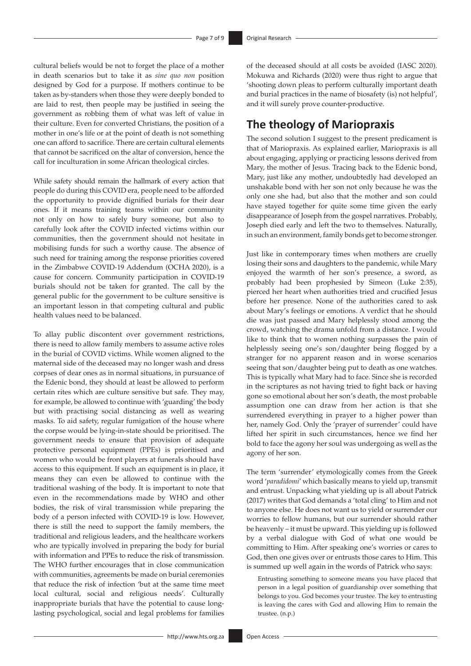cultural beliefs would be not to forget the place of a mother in death scenarios but to take it as *sine quo non* position designed by God for a purpose. If mothers continue to be taken as by-standers when those they were deeply bonded to are laid to rest, then people may be justified in seeing the government as robbing them of what was left of value in their culture. Even for converted Christians, the position of a mother in one's life or at the point of death is not something one can afford to sacrifice. There are certain cultural elements that cannot be sacrificed on the altar of conversion, hence the call for inculturation in some African theological circles.

While safety should remain the hallmark of every action that people do during this COVID era, people need to be afforded the opportunity to provide dignified burials for their dear ones. If it means training teams within our community not only on how to safely bury someone, but also to carefully look after the COVID infected victims within our communities, then the government should not hesitate in mobilising funds for such a worthy cause. The absence of such need for training among the response priorities covered in the Zimbabwe COVID-19 Addendum (OCHA 2020), is a cause for concern. Community participation in COVID-19 burials should not be taken for granted. The call by the general public for the government to be culture sensitive is an important lesson in that competing cultural and public health values need to be balanced.

To allay public discontent over government restrictions, there is need to allow family members to assume active roles in the burial of COVID victims. While women aligned to the maternal side of the deceased may no longer wash and dress corpses of dear ones as in normal situations, in pursuance of the Edenic bond, they should at least be allowed to perform certain rites which are culture sensitive but safe. They may, for example, be allowed to continue with 'guarding' the body but with practising social distancing as well as wearing masks. To aid safety, regular fumigation of the house where the corpse would be lying-in-state should be prioritised. The government needs to ensure that provision of adequate protective personal equipment (PPEs) is prioritised and women who would be front players at funerals should have access to this equipment. If such an equipment is in place, it means they can even be allowed to continue with the traditional washing of the body. It is important to note that even in the recommendations made by WHO and other bodies, the risk of viral transmission while preparing the body of a person infected with COVID-19 is low. However, there is still the need to support the family members, the traditional and religious leaders, and the healthcare workers who are typically involved in preparing the body for burial with information and PPEs to reduce the risk of transmission. The WHO further encourages that in close communication with communities, agreements be made on burial ceremonies that reduce the risk of infection 'but at the same time meet local cultural, social and religious needs'. Culturally inappropriate burials that have the potential to cause longlasting psychological, social and legal problems for families

of the deceased should at all costs be avoided (IASC 2020). Mokuwa and Richards (2020) were thus right to argue that 'shooting down pleas to perform culturally important death and burial practices in the name of biosafety (is) not helpful', and it will surely prove counter-productive.

## **The theology of Mariopraxis**

The second solution I suggest to the present predicament is that of Mariopraxis. As explained earlier, Mariopraxis is all about engaging, applying or practicing lessons derived from Mary, the mother of Jesus. Tracing back to the Edenic bond, Mary, just like any mother, undoubtedly had developed an unshakable bond with her son not only because he was the only one she had, but also that the mother and son could have stayed together for quite some time given the early disappearance of Joseph from the gospel narratives. Probably, Joseph died early and left the two to themselves. Naturally, in such an environment, family bonds get to become stronger.

Just like in contemporary times when mothers are cruelly losing their sons and daughters to the pandemic, while Mary enjoyed the warmth of her son's presence, a sword, as probably had been prophesied by Simeon (Luke 2:35), pierced her heart when authorities tried and crucified Jesus before her presence. None of the authorities cared to ask about Mary's feelings or emotions. A verdict that he should die was just passed and Mary helplessly stood among the crowd, watching the drama unfold from a distance. I would like to think that to women nothing surpasses the pain of helplessly seeing one's son/daughter being flogged by a stranger for no apparent reason and in worse scenarios seeing that son/daughter being put to death as one watches. This is typically what Mary had to face. Since she is recorded in the scriptures as not having tried to fight back or having gone so emotional about her son's death, the most probable assumption one can draw from her action is that she surrendered everything in prayer to a higher power than her, namely God. Only the 'prayer of surrender' could have lifted her spirit in such circumstances, hence we find her bold to face the agony her soul was undergoing as well as the agony of her son.

The term 'surrender' etymologically comes from the Greek word '*paradidomi*' which basically means to yield up, transmit and entrust. Unpacking what yielding up is all about Patrick (2017) writes that God demands a 'total cling' to Him and not to anyone else. He does not want us to yield or surrender our worries to fellow humans, but our surrender should rather be heavenly – it must be upward. This yielding up is followed by a verbal dialogue with God of what one would be committing to Him. After speaking one's worries or cares to God, then one gives over or entrusts those cares to Him. This is summed up well again in the words of Patrick who says:

Entrusting something to someone means you have placed that person in a legal position of guardianship over something that belongs to you. God becomes your trustee. The key to entrusting is leaving the cares with God and allowing Him to remain the trustee. (n.p.)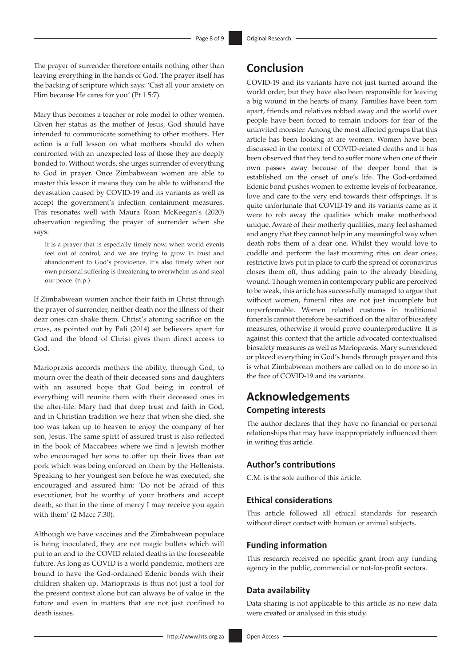The prayer of surrender therefore entails nothing other than leaving everything in the hands of God. The prayer itself has the backing of scripture which says: 'Cast all your anxiety on Him because He cares for you' (Pt 1 5:7).

Mary thus becomes a teacher or role model to other women. Given her status as the mother of Jesus, God should have intended to communicate something to other mothers. Her action is a full lesson on what mothers should do when confronted with an unexpected loss of those they are deeply bonded to. Without words, she urges surrender of everything to God in prayer. Once Zimbabwean women are able to master this lesson it means they can be able to withstand the devastation caused by COVID-19 and its variants as well as accept the government's infection containment measures. This resonates well with Maura Roan McKeegan's (2020) observation regarding the prayer of surrender when she says:

It is a prayer that is especially timely now, when world events feel out of control, and we are trying to grow in trust and abandonment to God's providence. It's also timely when our own personal suffering is threatening to overwhelm us and steal our peace. (n.p.)

If Zimbabwean women anchor their faith in Christ through the prayer of surrender, neither death nor the illness of their dear ones can shake them. Christ's atoning sacrifice on the cross, as pointed out by Pali (2014) set believers apart for God and the blood of Christ gives them direct access to God.

Mariopraxis accords mothers the ability, through God, to mourn over the death of their deceased sons and daughters with an assured hope that God being in control of everything will reunite them with their deceased ones in the after-life. Mary had that deep trust and faith in God, and in Christian tradition we hear that when she died, she too was taken up to heaven to enjoy the company of her son, Jesus. The same spirit of assured trust is also reflected in the book of Maccabees where we find a Jewish mother who encouraged her sons to offer up their lives than eat pork which was being enforced on them by the Hellenists. Speaking to her youngest son before he was executed, she encouraged and assured him: 'Do not be afraid of this executioner, but be worthy of your brothers and accept death, so that in the time of mercy I may receive you again with them' (2 Macc 7:30).

Although we have vaccines and the Zimbabwean populace is being inoculated, they are not magic bullets which will put to an end to the COVID related deaths in the foreseeable future. As long as COVID is a world pandemic, mothers are bound to have the God-ordained Edenic bonds with their children shaken up. Mariopraxis is thus not just a tool for the present context alone but can always be of value in the future and even in matters that are not just confined to death issues.

## **Conclusion**

COVID-19 and its variants have not just turned around the world order, but they have also been responsible for leaving a big wound in the hearts of many. Families have been torn apart, friends and relatives robbed away and the world over people have been forced to remain indoors for fear of the uninvited monster. Among the most affected groups that this article has been looking at are women. Women have been discussed in the context of COVID-related deaths and it has been observed that they tend to suffer more when one of their own passes away because of the deeper bond that is established on the onset of one's life. The God-ordained Edenic bond pushes women to extreme levels of forbearance, love and care to the very end towards their offsprings. It is quite unfortunate that COVID-19 and its variants came as it were to rob away the qualities which make motherhood unique. Aware of their motherly qualities, many feel ashamed and angry that they cannot help in any meaningful way when death robs them of a dear one. Whilst they would love to cuddle and perform the last mourning rites on dear ones, restrictive laws put in place to curb the spread of coronavirus closes them off, thus adding pain to the already bleeding wound. Though women in contemporary public are perceived to be weak, this article has successfully managed to argue that without women, funeral rites are not just incomplete but unperformable. Women related customs in traditional funerals cannot therefore be sacrificed on the altar of biosafety measures, otherwise it would prove counterproductive. It is against this context that the article advocated contextualised biosafety measures as well as Mariopraxis. Mary surrendered or placed everything in God's hands through prayer and this is what Zimbabwean mothers are called on to do more so in the face of COVID-19 and its variants.

## **Acknowledgements Competing interests**

The author declares that they have no financial or personal relationships that may have inappropriately influenced them in writing this article.

#### **Author's contributions**

C.M. is the sole author of this article.

#### **Ethical considerations**

This article followed all ethical standards for research without direct contact with human or animal subjects.

#### **Funding information**

This research received no specific grant from any funding agency in the public, commercial or not-for-profit sectors.

#### **Data availability**

Data sharing is not applicable to this article as no new data were created or analysed in this study.